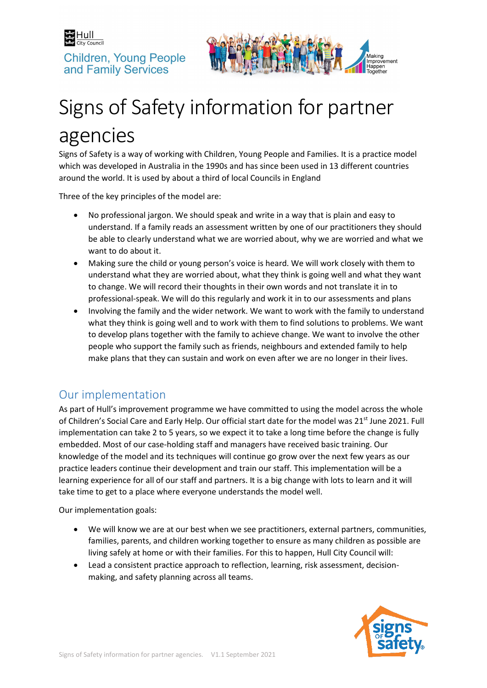



# Signs of Safety information for partner agencies

Signs of Safety is a way of working with Children, Young People and Families. It is a practice model which was developed in Australia in the 1990s and has since been used in 13 different countries around the world. It is used by about a third of local Councils in England

Three of the key principles of the model are:

- No professional jargon. We should speak and write in a way that is plain and easy to understand. If a family reads an assessment written by one of our practitioners they should be able to clearly understand what we are worried about, why we are worried and what we want to do about it.
- Making sure the child or young person's voice is heard. We will work closely with them to understand what they are worried about, what they think is going well and what they want to change. We will record their thoughts in their own words and not translate it in to professional-speak. We will do this regularly and work it in to our assessments and plans
- Involving the family and the wider network. We want to work with the family to understand what they think is going well and to work with them to find solutions to problems. We want to develop plans together with the family to achieve change. We want to involve the other people who support the family such as friends, neighbours and extended family to help make plans that they can sustain and work on even after we are no longer in their lives.

## Our implementation

As part of Hull's improvement programme we have committed to using the model across the whole of Children's Social Care and Early Help. Our official start date for the model was 21<sup>st</sup> June 2021. Full implementation can take 2 to 5 years, so we expect it to take a long time before the change is fully embedded. Most of our case-holding staff and managers have received basic training. Our knowledge of the model and its techniques will continue go grow over the next few years as our practice leaders continue their development and train our staff. This implementation will be a learning experience for all of our staff and partners. It is a big change with lots to learn and it will take time to get to a place where everyone understands the model well.

Our implementation goals:

- We will know we are at our best when we see practitioners, external partners, communities, families, parents, and children working together to ensure as many children as possible are living safely at home or with their families. For this to happen, Hull City Council will:
- Lead a consistent practice approach to reflection, learning, risk assessment, decisionmaking, and safety planning across all teams.

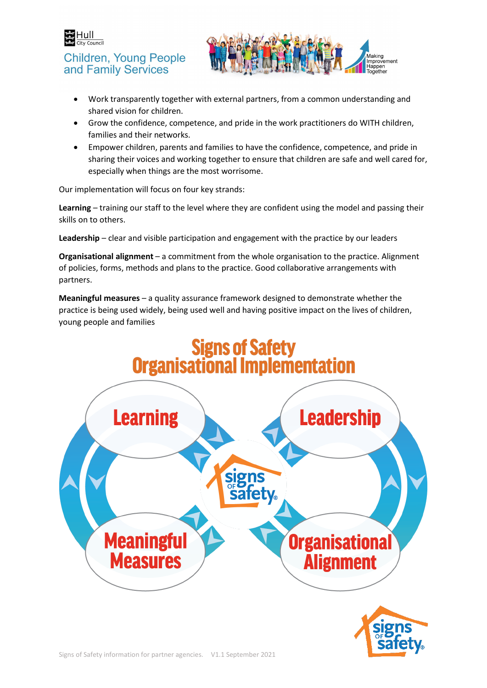



- Work transparently together with external partners, from a common understanding and shared vision for children.
- Grow the confidence, competence, and pride in the work practitioners do WITH children, families and their networks.
- Empower children, parents and families to have the confidence, competence, and pride in sharing their voices and working together to ensure that children are safe and well cared for, especially when things are the most worrisome.

Our implementation will focus on four key strands:

**Learning** – training our staff to the level where they are confident using the model and passing their skills on to others.

**Leadership** – clear and visible participation and engagement with the practice by our leaders

**Organisational alignment** – a commitment from the whole organisation to the practice. Alignment of policies, forms, methods and plans to the practice. Good collaborative arrangements with partners.

**Meaningful measures** – a quality assurance framework designed to demonstrate whether the practice is being used widely, being used well and having positive impact on the lives of children, young people and families

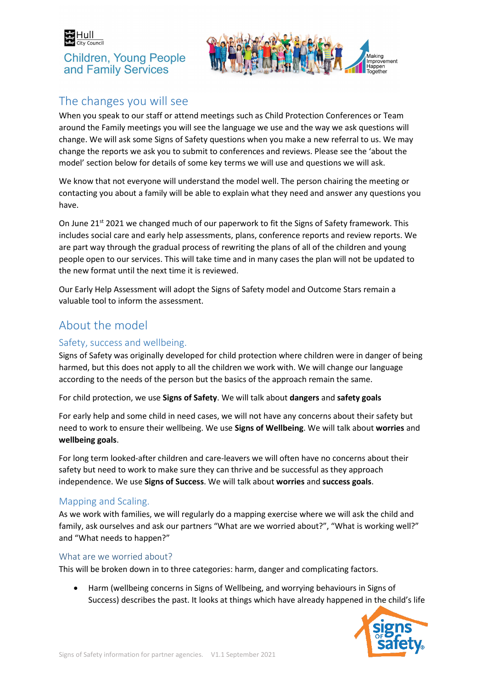



# The changes you will see

When you speak to our staff or attend meetings such as Child Protection Conferences or Team around the Family meetings you will see the language we use and the way we ask questions will change. We will ask some Signs of Safety questions when you make a new referral to us. We may change the reports we ask you to submit to conferences and reviews. Please see the 'about the model' section below for details of some key terms we will use and questions we will ask.

We know that not everyone will understand the model well. The person chairing the meeting or contacting you about a family will be able to explain what they need and answer any questions you have.

On June 21<sup>st</sup> 2021 we changed much of our paperwork to fit the Signs of Safety framework. This includes social care and early help assessments, plans, conference reports and review reports. We are part way through the gradual process of rewriting the plans of all of the children and young people open to our services. This will take time and in many cases the plan will not be updated to the new format until the next time it is reviewed.

Our Early Help Assessment will adopt the Signs of Safety model and Outcome Stars remain a valuable tool to inform the assessment.

## About the model

## Safety, success and wellbeing.

Signs of Safety was originally developed for child protection where children were in danger of being harmed, but this does not apply to all the children we work with. We will change our language according to the needs of the person but the basics of the approach remain the same.

For child protection, we use **Signs of Safety**. We will talk about **dangers** and **safety goals**

For early help and some child in need cases, we will not have any concerns about their safety but need to work to ensure their wellbeing. We use **Signs of Wellbeing**. We will talk about **worries** and **wellbeing goals**.

For long term looked-after children and care-leavers we will often have no concerns about their safety but need to work to make sure they can thrive and be successful as they approach independence. We use **Signs of Success**. We will talk about **worries** and **success goals**.

### Mapping and Scaling.

As we work with families, we will regularly do a mapping exercise where we will ask the child and family, ask ourselves and ask our partners "What are we worried about?", "What is working well?" and "What needs to happen?"

### What are we worried about?

This will be broken down in to three categories: harm, danger and complicating factors.

• Harm (wellbeing concerns in Signs of Wellbeing, and worrying behaviours in Signs of Success) describes the past. It looks at things which have already happened in the child's life

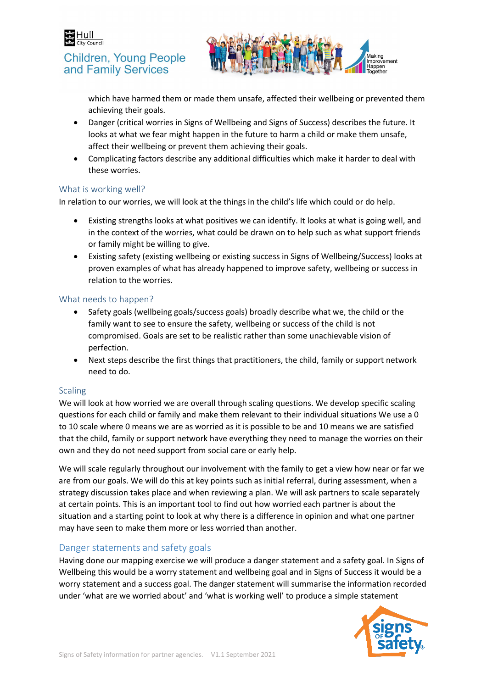



which have harmed them or made them unsafe, affected their wellbeing or prevented them achieving their goals.

- Danger (critical worries in Signs of Wellbeing and Signs of Success) describes the future. It looks at what we fear might happen in the future to harm a child or make them unsafe, affect their wellbeing or prevent them achieving their goals.
- Complicating factors describe any additional difficulties which make it harder to deal with these worries.

#### What is working well?

In relation to our worries, we will look at the things in the child's life which could or do help.

- Existing strengths looks at what positives we can identify. It looks at what is going well, and in the context of the worries, what could be drawn on to help such as what support friends or family might be willing to give.
- Existing safety (existing wellbeing or existing success in Signs of Wellbeing/Success) looks at proven examples of what has already happened to improve safety, wellbeing or success in relation to the worries.

#### What needs to happen?

- Safety goals (wellbeing goals/success goals) broadly describe what we, the child or the family want to see to ensure the safety, wellbeing or success of the child is not compromised. Goals are set to be realistic rather than some unachievable vision of perfection.
- Next steps describe the first things that practitioners, the child, family or support network need to do.

#### **Scaling**

We will look at how worried we are overall through scaling questions. We develop specific scaling questions for each child or family and make them relevant to their individual situations We use a 0 to 10 scale where 0 means we are as worried as it is possible to be and 10 means we are satisfied that the child, family or support network have everything they need to manage the worries on their own and they do not need support from social care or early help.

We will scale regularly throughout our involvement with the family to get a view how near or far we are from our goals. We will do this at key points such as initial referral, during assessment, when a strategy discussion takes place and when reviewing a plan. We will ask partners to scale separately at certain points. This is an important tool to find out how worried each partner is about the situation and a starting point to look at why there is a difference in opinion and what one partner may have seen to make them more or less worried than another.

### Danger statements and safety goals

Having done our mapping exercise we will produce a danger statement and a safety goal. In Signs of Wellbeing this would be a worry statement and wellbeing goal and in Signs of Success it would be a worry statement and a success goal. The danger statement will summarise the information recorded under 'what are we worried about' and 'what is working well' to produce a simple statement